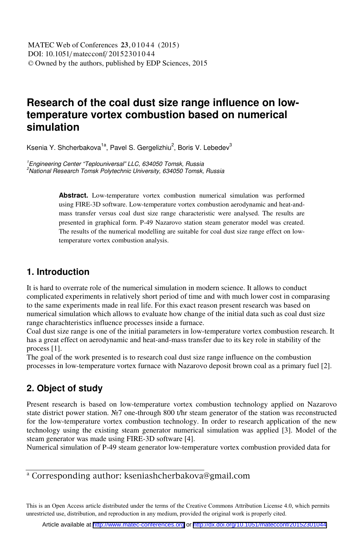# **Research of the coal dust size range influence on lowtemperature vortex combustion based on numerical simulation**

Ksenia Y. Shcherbakova<sup>1a</sup>, Pavel S. Gergelizhiu<sup>2</sup>, Boris V. Lebedev<sup>3</sup>

<sup>1</sup> Engineering Center "Teplouniversal" LLC, 634050 Tomsk, Russia<br><sup>2</sup>Netional Bessereb Temak Beluteebnig University, 634050 Temak  $2$ National Research Tomsk Polytechnic University, 634050 Tomsk, Russia

> **Abstract.** Low-temperature vortex combustion numerical simulation was performed using FIRE-3D software. Low-temperature vortex combustion aerodynamic and heat-andmass transfer versus coal dust size range characteristic were analysed. The results are presented in graphical form. P-49 Nazarovo station steam generator model was created. The results of the numerical modelling are suitable for coal dust size range effect on lowtemperature vortex combustion analysis.

### **1. Introduction**

It is hard to overrate role of the numerical simulation in modern science. It allows to conduct complicated experiments in relatively short period of time and with much lower cost in comparasing to the same experiments made in real life. For this exact reason present research was based on numerical simulation which allows to evaluate how change of the initial data such as coal dust size range charachteristics influence processes inside a furnace.

Coal dust size range is one of the initial parameters in low-temperature vortex combustion research. It has a great effect on aerodynamic and heat-and-mass transfer due to its key role in stability of the process [1].

The goal of the work presented is to research coal dust size range influence on the combustion processes in low-temperature vortex furnace with Nazarovo deposit brown coal as a primary fuel [2].

## **2. Object of study**

Present research is based on low-temperature vortex combustion technology applied on Nazarovo state district power station. Nº 7 one-through 800 t/hr steam generator of the station was reconstructed for the low-temperature vortex combustion technology. In order to research application of the new technology using the existing steam generator numerical simulation was applied [3]. Model of the steam generator was made using FIRE-3D software [4].

Numerical simulation of P-49 steam generator low-temperature vortex combustion provided data for

<sup>a</sup> Corresponding author: kseniashcherbakova@gmail.com

This is an Open Access article distributed under the terms of the Creative Commons Attribution License 4.0, which permits unrestricted use, distribution, and reproduction in any medium, provided the original work is properly cited.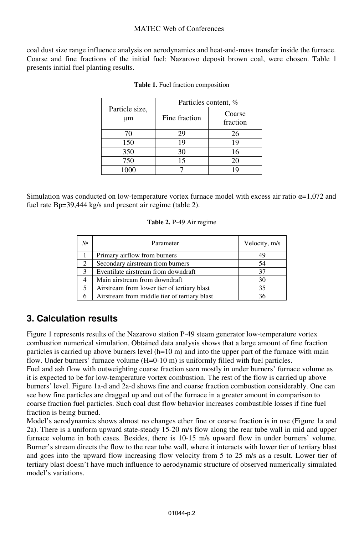#### MATEC Web of Conferences

coal dust size range influence analysis on aerodynamics and heat-and-mass transfer inside the furnace. Coarse and fine fractions of the initial fuel: Nazarovo deposit brown coal, were chosen. Table 1 presents initial fuel planting results.

|                      | Particles content, % |                    |  |
|----------------------|----------------------|--------------------|--|
| Particle size,<br>μm | Fine fraction        | Coarse<br>fraction |  |
| 70                   | 29                   | 26                 |  |
| 150                  | 19                   | 19                 |  |
| 350                  | 30                   | 16                 |  |
| 750                  | 15                   | 20                 |  |
| 1000                 |                      | 1 Q                |  |

|  |  |  |  | <b>Table 1.</b> Fuel fraction composition |
|--|--|--|--|-------------------------------------------|
|--|--|--|--|-------------------------------------------|

Simulation was conducted on low-temperature vortex furnace model with excess air ratio  $\alpha = 1,072$  and fuel rate  $Bp=39,444$  kg/s and present air regime (table 2).

#### **Table 2.** P-49 Air regime

| No | Parameter                                    | Velocity, m/s |
|----|----------------------------------------------|---------------|
|    | Primary airflow from burners                 | 49            |
| 2  | Secondary airstream from burners             | 54            |
| 3  | Eventilate airstream from downdraft          | 37            |
|    | Main airstream from downdraft                | 30            |
| 5  | Airstream from lower tier of tertiary blast  | 35            |
|    | Airstream from middle tier of tertiary blast | 36            |

### **3. Calculation results**

Figure 1 represents results of the Nazarovo station P-49 steam generator low-temperature vortex combustion numerical simulation. Obtained data analysis shows that a large amount of fine fraction particles is carried up above burners level (h=10 m) and into the upper part of the furnace with main flow. Under burners' furnace volume (H=0-10 m) is uniformly filled with fuel particles.

Fuel and ash flow with outweighting coarse fraction seen mostly in under burners' furnace volume as it is expected to be for low-temperature vortex combustion. The rest of the flow is carried up above burners' level. Figure 1a-d and 2a-d shows fine and coarse fraction combustion considerably. One can see how fine particles are dragged up and out of the furnace in a greater amount in comparison to coarse fraction fuel particles. Such coal dust flow behavior increases combustible losses if fine fuel fraction is being burned.

Model's aerodynamics shows almost no changes ether fine or coarse fraction is in use (Figure 1a and 2a). There is a uniform upward state-steady 15-20 m/s flow along the rear tube wall in mid and upper furnace volume in both cases. Besides, there is 10-15 m/s upward flow in under burners' volume. Burner's stream directs the flow to the rear tube wall, where it interacts with lower tier of tertiary blast and goes into the upward flow increasing flow velocity from 5 to 25 m/s as a result. Lower tier of tertiary blast doesn't have much influence to aerodynamic structure of observed numerically simulated model's variations.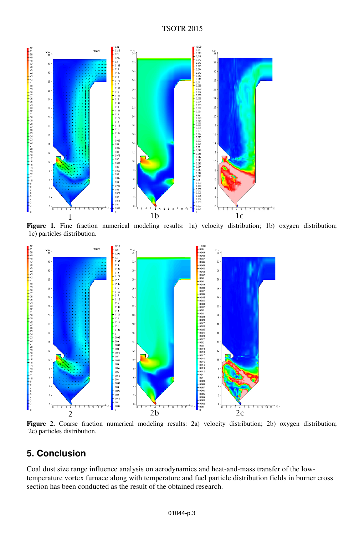

Figure 1. Fine fraction numerical modeling results: 1a) velocity distribution; 1b) oxygen distribution; 1c) particles distribution.



**Figure 2.** Coarse fraction numerical modeling results: 2a) velocity distribution; 2b) oxygen distribution; 2c) particles distribution.

# **5. Conclusion**

Coal dust size range influence analysis on aerodynamics and heat-and-mass transfer of the lowtemperature vortex furnace along with temperature and fuel particle distribution fields in burner cross section has been conducted as the result of the obtained research.